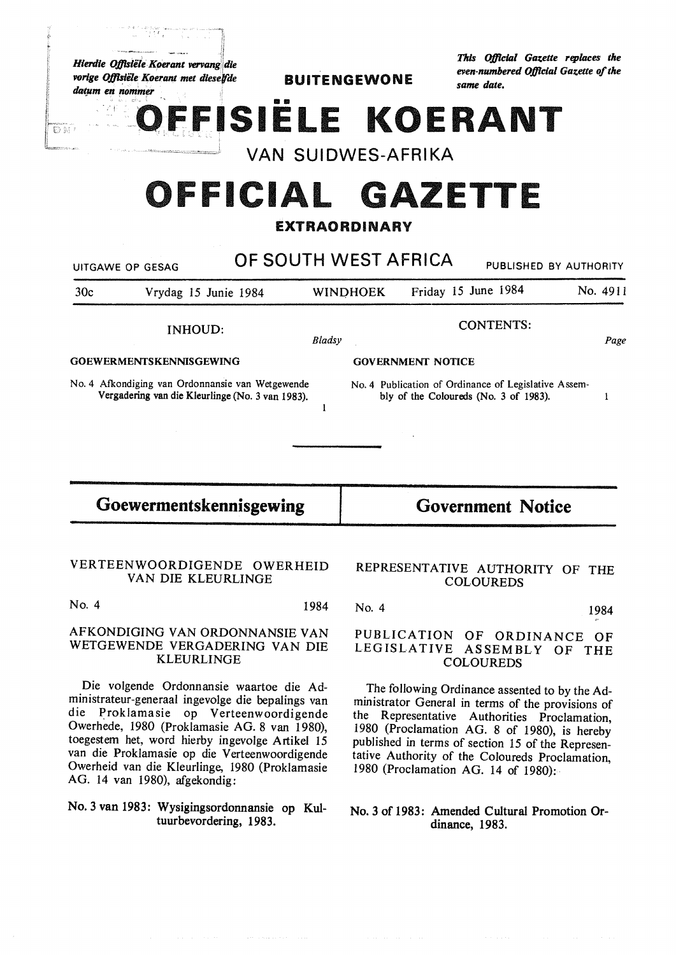Hierdie Offisiële Koerant vervang die vorige Offisiële Koerant met dieselfde datum en nommer

 $D M$ 

÷.

**BUITENGEWONE** 

This Official Gazette replaces the even-numbered Official Gazette of the same date.

ISIELE KOERANT

**VAN SUIDWES-AFRIKA** 

## OFFICIAL GAZETTE

#### **EXTRAORDINARY**

|                                | UITGAWE OP GESAG                                                                                     | OF SOUTH WEST AFRICA |                          |                     |                                                                                               | PUBLISHED BY AUTHORITY |  |
|--------------------------------|------------------------------------------------------------------------------------------------------|----------------------|--------------------------|---------------------|-----------------------------------------------------------------------------------------------|------------------------|--|
| 30c                            | Vrydag 15 Junie 1984                                                                                 |                      | <b>WINDHOEK</b>          | Friday 15 June 1984 |                                                                                               | No. 4911               |  |
| <b>INHOUD:</b>                 |                                                                                                      | Bladsy               | <b>CONTENTS:</b><br>Page |                     |                                                                                               |                        |  |
| <b>GOEWERMENTSKENNISGEWING</b> |                                                                                                      |                      | <b>GOVERNMENT NOTICE</b> |                     |                                                                                               |                        |  |
|                                | No. 4 Afkondiging van Ordonnansie van Wetgewende<br>Vergadering van die Kleurlinge (No. 3 van 1983). |                      |                          |                     | No. 4 Publication of Ordinance of Legislative Assem-<br>bly of the Coloureds (No. 3 of 1983). |                        |  |
| Goewermentskennisgewing        |                                                                                                      |                      | <b>Government Notice</b> |                     |                                                                                               |                        |  |

## VAN DIE KLEURLINGE

No. 4 1984

#### AFKONDIGING VAN ORDONNANSIE VAN WETGEWENDE VERGADERING VAN DIE **KLEURLINGE**

Die volgende Ordonnansie waartoe die Administrateur-generaal ingevolge die bepalings van die Proklamasie op Verteenwoordigende Owerhede, 1980 (Proklamasie AG. 8 van 1980), toegestem het, word hierby ingevolge Artikel 15 van die Proklamasie op die Verteenwoordigende Owerheid van die Kleurlinge, 1980 (Proklamasie AG. 14 van 1980), afgekondig:

#### No. 3 van 1983: Wysigingsordonnansie op Kultuurbevordering, 1983.

# **COLOUREDS**

1984

No. 4

#### PUBLICATION OF ORDINANCE OF LEGISLATIVE ASSEMBLY OF THE **COLOUREDS**

The following Ordinance assented to by the Administrator General in terms of the provisions of the Representative Authorities Proclamation, 1980 (Proclamation AG. 8 of 1980), is hereby published in terms of section 15 of the Representative Authority of the Coloureds Proclamation, 1980 (Proclamation AG. 14 of 1980):

#### No. 3 of 1983: Amended Cultural Promotion Ordinance, 1983.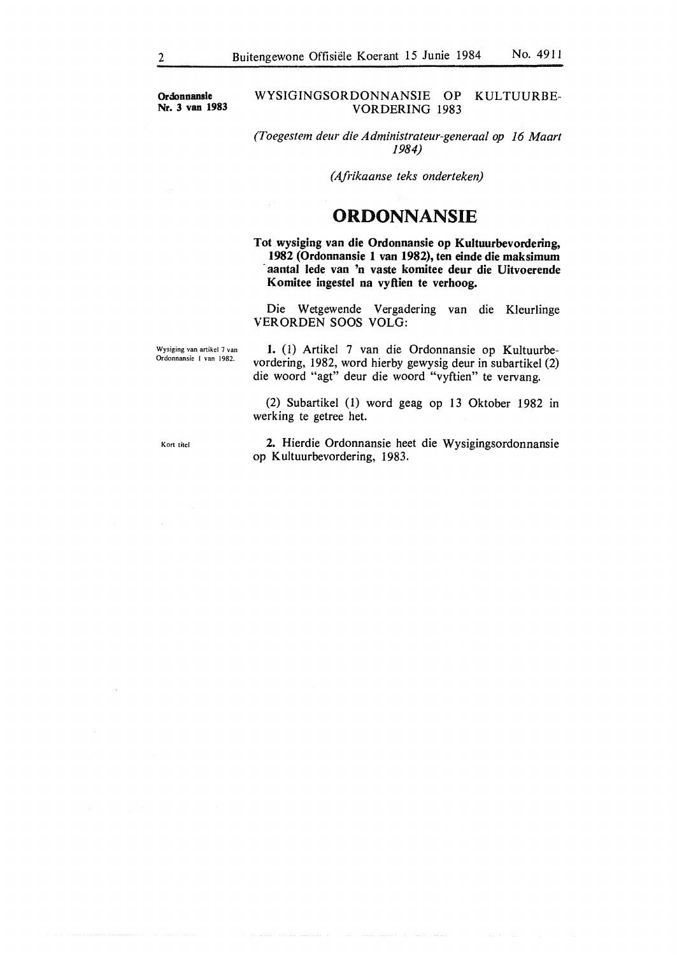**Ordonnansie Nr. 3 van 1983** 

#### WYSIGINGSORDONNANSIE OP KULTUURBE-VORDERING 1983

*(Toegestem deur die Administrateur-generaal op 16 Maart 1984)* 

*(Afrikaanse teks onderteken)* 

### **ORDONNANSIE**

Tot wysiging van die Ordonnansie op Kultuurbevordering, **1982 (Ordonnansie 1 van 1982), ten einde die maksimum**  · **aantal lede van 'n vaste komitee deur die Uitvoerende Komitee ingeste) na vyftien te verhoog.** 

Die Wetgewende Vergadering van die Kleurlinge VERORDEN SOOS VOLG:

Wysiging van artikel 7 van Ordonnansie I van 1982.

**1.** (1) Artikel 7 van die Ordonnansie op Kultuurbevordering, 1982, word hierby gewysig deur in subartikel (2) die woord "agt" deur die woord "vyftien" te vervang.

(2) Subartikel (1) word geag op 13 Oktober 1982 in werking te getree het.

Kort titel

**2.** Hierdie Ordonnansie heet die Wysigingsordonnansie op Kultuurbevordering, 1983.